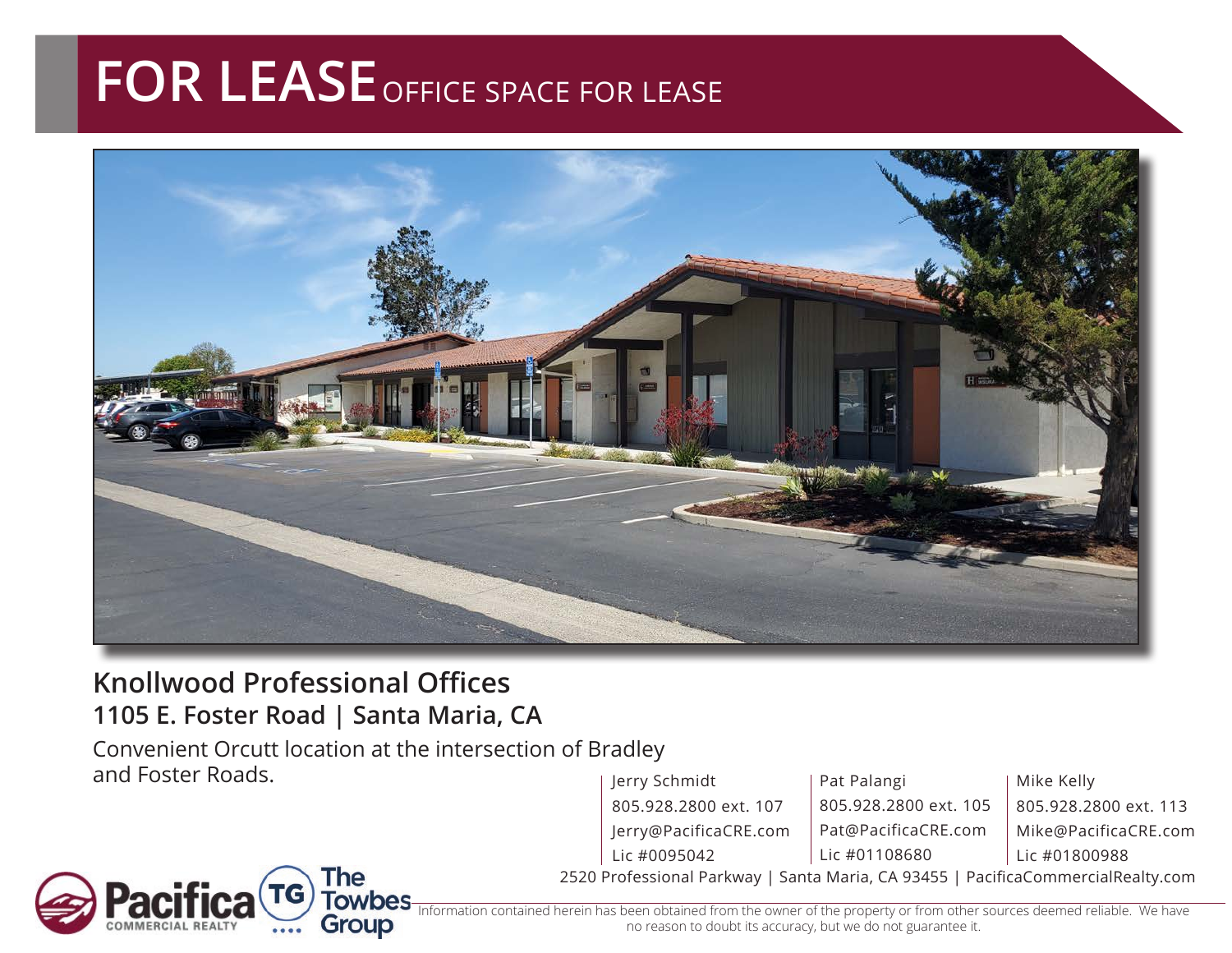## **FOR LEASE** OFFICE SPACE FOR LEASE



## **Knollwood Professional Offices 1105 E. Foster Road | Santa Maria, CA**

Convenient Orcutt location at the intersection of Bradley and Foster Roads.

2520 Professional Parkway | Santa Maria, CA 93455 | PacificaCommercialRealty.com Jerry Schmidt 805.928.2800 ext. 107 Jerry@PacificaCRE.com Lic #0095042 Pat Palangi 805.928.2800 ext. 105 Pat@PacificaCRE.com Lic #01108680 Mike Kelly 805.928.2800 ext. 113 Mike@PacificaCRE.com Lic #01800988



erein has been obtained from the owner of the property or from other sources deemed reliable. We have no reason to doubt its accuracy, but we do not guarantee it.